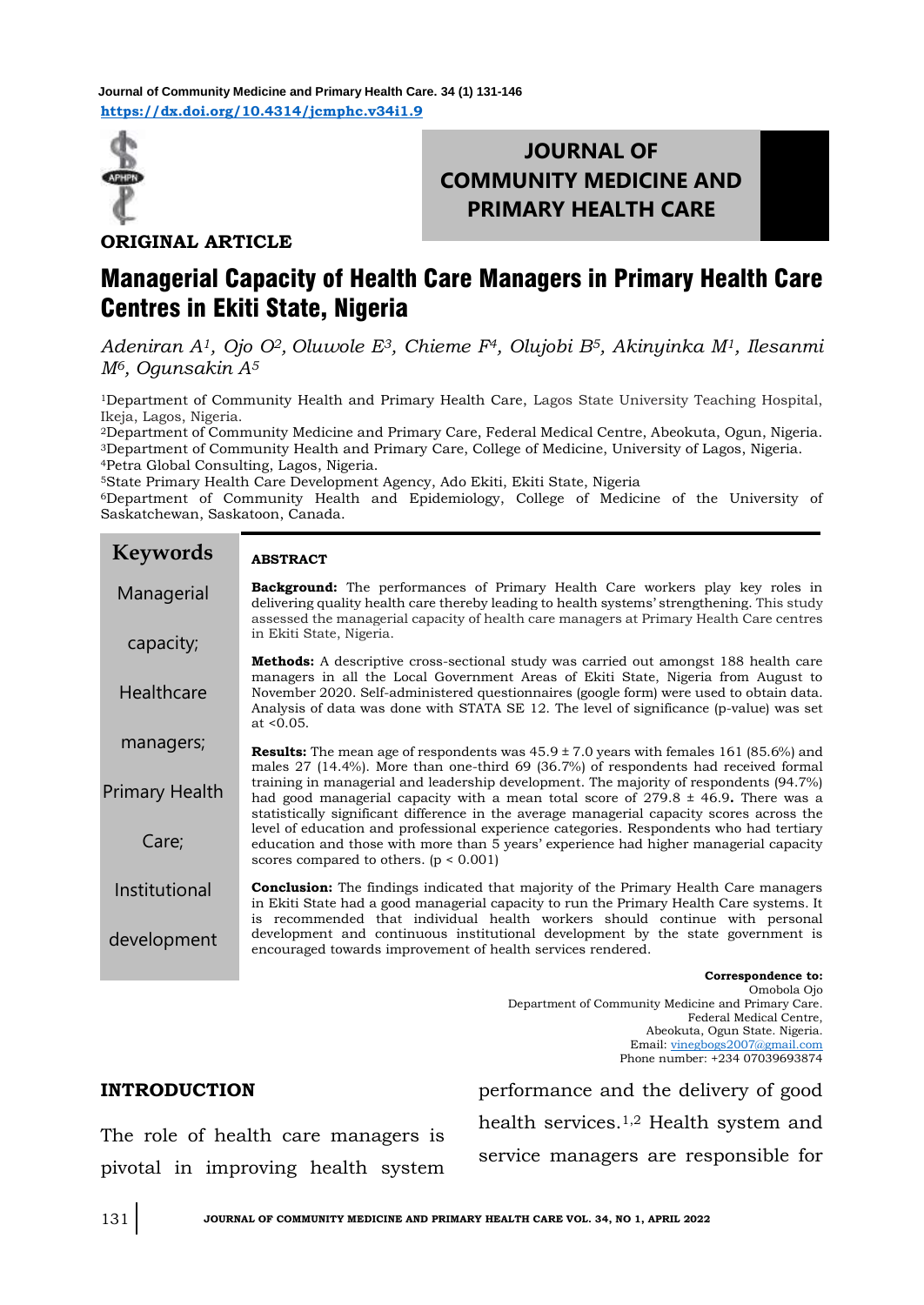

## **JOURNAL OF COMMUNITY MEDICINE AND PRIMARY HEALTH CARE**

**ORIGINAL ARTICLE**

## Managerial Capacity of Health Care Managers in Primary Health Care Centres in Ekiti State, Nigeria

*Adeniran A1, Ojo O2, Oluwole E3, Chieme F4, Olujobi B5, Akinyinka M1, Ilesanmi M6, Ogunsakin A<sup>5</sup>*

<sup>1</sup>Department of Community Health and Primary Health Care, Lagos State University Teaching Hospital, Ikeja, Lagos, Nigeria.

<sup>2</sup>Department of Community Medicine and Primary Care, Federal Medical Centre, Abeokuta, Ogun, Nigeria. <sup>3</sup>Department of Community Health and Primary Care, College of Medicine, University of Lagos, Nigeria. <sup>4</sup>Petra Global Consulting, Lagos, Nigeria.

<sup>5</sup>State Primary Health Care Development Agency, Ado Ekiti, Ekiti State, Nigeria

<sup>6</sup>Department of Community Health and Epidemiology, College of Medicine of the University of Saskatchewan, Saskatoon, Canada.

| <b>Keywords</b> | <b>ABSTRACT</b>                                                                                                                                                                                                                                                                                                                                                                         |
|-----------------|-----------------------------------------------------------------------------------------------------------------------------------------------------------------------------------------------------------------------------------------------------------------------------------------------------------------------------------------------------------------------------------------|
| Managerial      | <b>Background:</b> The performances of Primary Health Care workers play key roles in<br>delivering quality health care thereby leading to health systems' strengthening. This study<br>assessed the managerial capacity of health care managers at Primary Health Care centres<br>in Ekiti State, Nigeria.                                                                              |
| capacity;       |                                                                                                                                                                                                                                                                                                                                                                                         |
| Healthcare      | <b>Methods:</b> A descriptive cross-sectional study was carried out amongst 188 health care<br>managers in all the Local Government Areas of Ekiti State, Nigeria from August to<br>November 2020. Self-administered questionnaires (google form) were used to obtain data.<br>Analysis of data was done with STATA SE 12. The level of significance (p-value) was set<br>at $< 0.05$ . |
| managers;       | <b>Results:</b> The mean age of respondents was $45.9 \pm 7.0$ years with females 161 (85.6%) and<br>males 27 (14.4%). More than one-third 69 (36.7%) of respondents had received formal                                                                                                                                                                                                |
| Primary Health  | training in managerial and leadership development. The majority of respondents (94.7%)<br>had good managerial capacity with a mean total score of $279.8 \pm 46.9$ . There was a<br>statistically significant difference in the average managerial capacity scores across the                                                                                                           |
| Care;           | level of education and professional experience categories. Respondents who had tertiary<br>education and those with more than 5 years' experience had higher managerial capacity<br>scores compared to others. $(p < 0.001)$                                                                                                                                                            |
| Institutional   | <b>Conclusion:</b> The findings indicated that majority of the Primary Health Care managers<br>in Ekiti State had a good managerial capacity to run the Primary Health Care systems. It<br>is recommended that individual health workers should continue with personal                                                                                                                  |
| development     | development and continuous institutional development by the state government is<br>encouraged towards improvement of health services rendered.                                                                                                                                                                                                                                          |
|                 |                                                                                                                                                                                                                                                                                                                                                                                         |

**Correspondence to:**  Omobola Ojo Department of Community Medicine and Primary Care. Federal Medical Centre, Abeokuta, Ogun State. Nigeria. Email[: vinegbogs2007@gmail.com](mailto:vinegbogs2007@gmail.com) Phone number: +234 07039693874

# **INTRODUCTION** .

The role of health care managers is pivotal in improving health system performance and the delivery of good health services.1,2 Health system and service managers are responsible for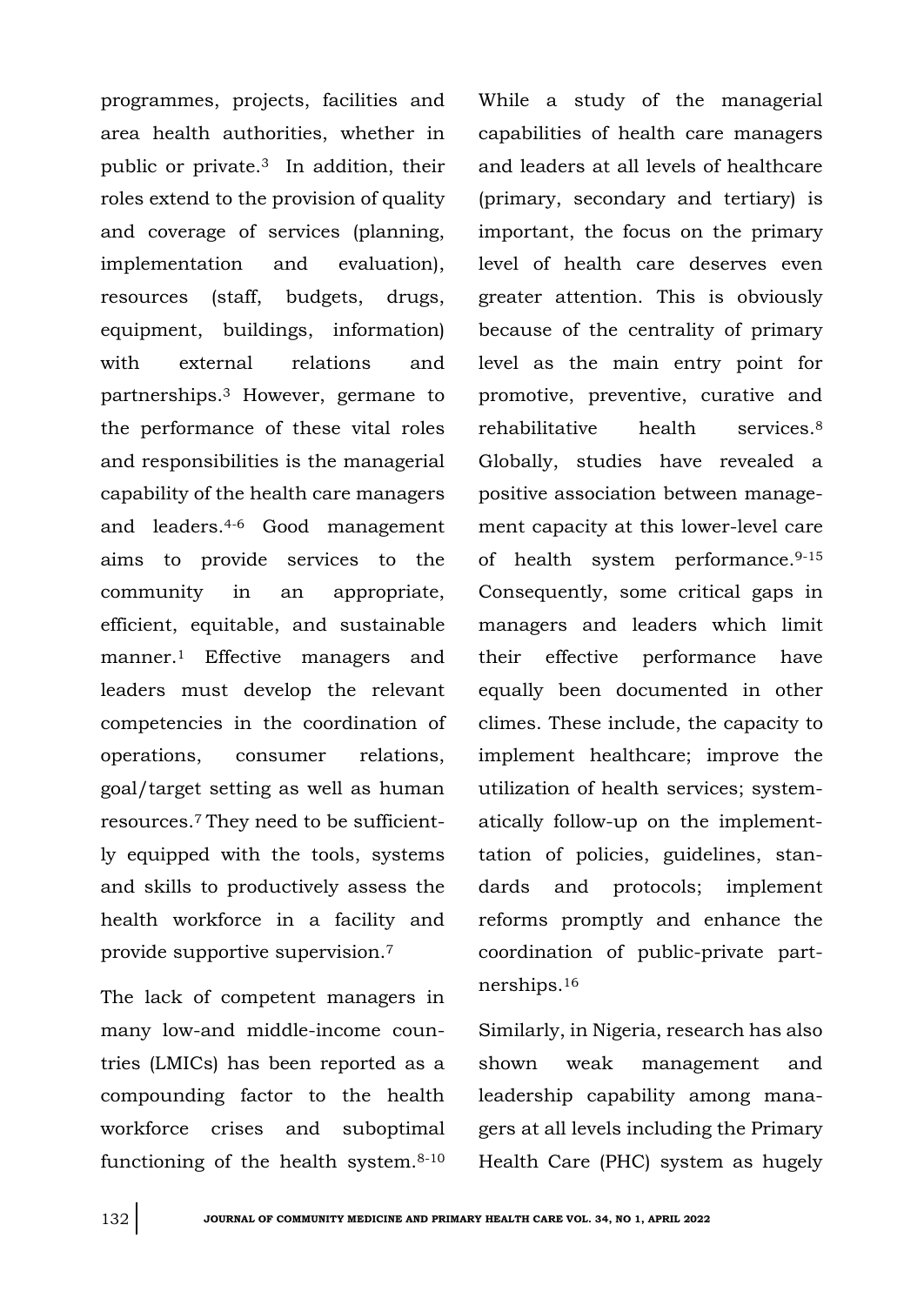programmes, projects, facilities and area health authorities, whether in public or private.3 In addition, their roles extend to the provision of quality and coverage of services (planning, implementation and evaluation), resources (staff, budgets, drugs, equipment, buildings, information) with external relations and partnerships.<sup>3</sup> However, germane to the performance of these vital roles and responsibilities is the managerial capability of the health care managers and leaders.4-6 Good management aims to provide services to the community in an appropriate, efficient, equitable, and sustainable manner.<sup>1</sup> Effective managers and leaders must develop the relevant competencies in the coordination of operations, consumer relations, goal/target setting as well as human resources.7 They need to be sufficiently equipped with the tools, systems and skills to productively assess the health workforce in a facility and provide supportive supervision.<sup>7</sup>

The lack of competent managers in many low-and middle-income countries (LMICs) has been reported as a compounding factor to the health workforce crises and suboptimal functioning of the health system.8-10 While a study of the managerial capabilities of health care managers and leaders at all levels of healthcare (primary, secondary and tertiary) is important, the focus on the primary level of health care deserves even greater attention. This is obviously because of the centrality of primary level as the main entry point for promotive, preventive, curative and rehabilitative health services.<sup>8</sup> Globally, studies have revealed a positive association between management capacity at this lower-level care of health system performance.9-15 Consequently, some critical gaps in managers and leaders which limit their effective performance have equally been documented in other climes. These include, the capacity to implement healthcare; improve the utilization of health services; systematically follow-up on the implementtation of policies, guidelines, standards and protocols; implement reforms promptly and enhance the coordination of public-private partnerships.<sup>16</sup>

Similarly, in Nigeria, research has also shown weak management and leadership capability among managers at all levels including the Primary Health Care (PHC) system as hugely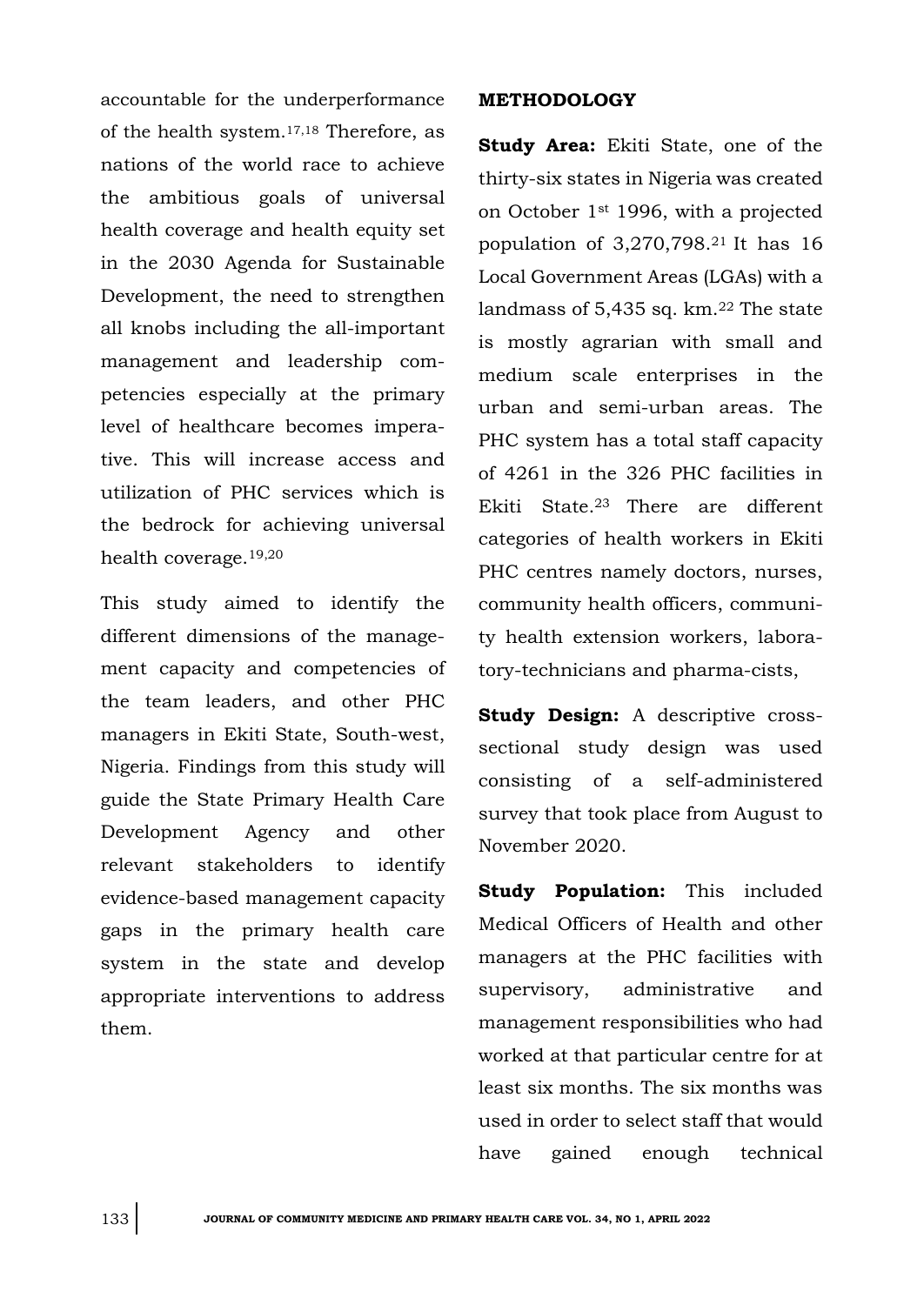accountable for the underperformance of the health system.17,18 Therefore, as nations of the world race to achieve the ambitious goals of universal health coverage and health equity set in the 2030 Agenda for Sustainable Development, the need to strengthen all knobs including the all-important management and leadership competencies especially at the primary level of healthcare becomes imperative. This will increase access and utilization of PHC services which is the bedrock for achieving universal health coverage.19,20

This study aimed to identify the different dimensions of the management capacity and competencies of the team leaders, and other PHC managers in Ekiti State, South-west, Nigeria. Findings from this study will guide the State Primary Health Care Development Agency and other relevant stakeholders to identify evidence-based management capacity gaps in the primary health care system in the state and develop appropriate interventions to address them.

#### **METHODOLOGY**

**Study Area:** Ekiti State, one of the thirty-six states in Nigeria was created on October 1st 1996, with a projected population of 3,270,798.21 It has 16 Local Government Areas (LGAs) with a landmass of 5,435 sq. km.<sup>22</sup> The state is mostly agrarian with small and medium scale enterprises in the urban and semi-urban areas. The PHC system has a total staff capacity of 4261 in the 326 PHC facilities in Ekiti State.23 There are different categories of health workers in Ekiti PHC centres namely doctors, nurses, community health officers, community health extension workers, laboratory-technicians and pharma-cists,

**Study Design:** A descriptive crosssectional study design was used consisting of a self-administered survey that took place from August to November 2020.

**Study Population:** This included Medical Officers of Health and other managers at the PHC facilities with supervisory, administrative and management responsibilities who had worked at that particular centre for at least six months. The six months was used in order to select staff that would have gained enough technical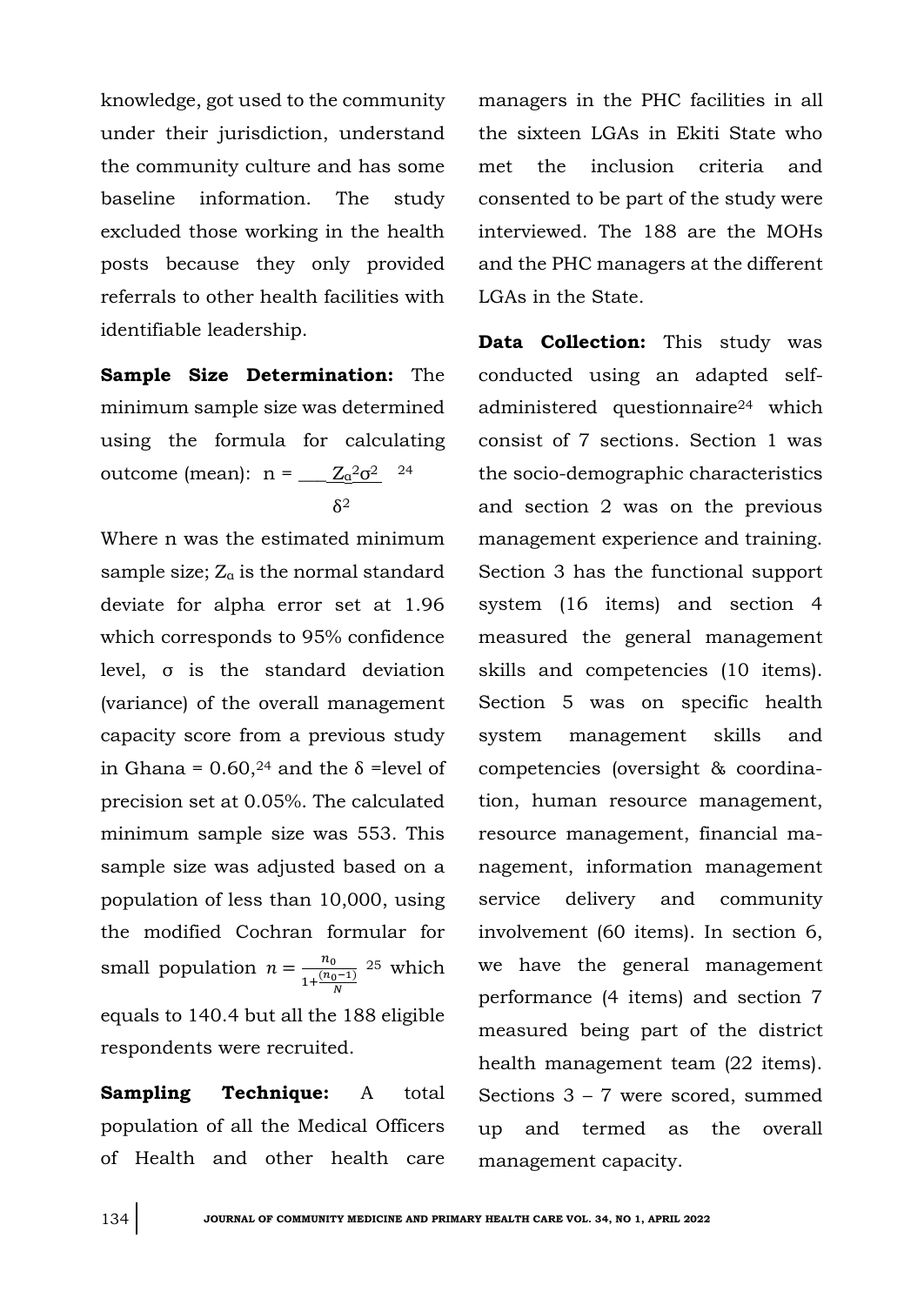knowledge, got used to the community under their jurisdiction, understand the community culture and has some baseline information. The study excluded those working in the health posts because they only provided referrals to other health facilities with identifiable leadership.

**Sample Size Determination:** The minimum sample size was determined using the formula for calculating outcome (mean):  $n = \underline{Z_a^2 \sigma^2}$  <sup>24</sup>  $\delta^2$ 

Where n was the estimated minimum sample size;  $Z_{\alpha}$  is the normal standard deviate for alpha error set at 1.96 which corresponds to 95% confidence level, σ is the standard deviation (variance) of the overall management capacity score from a previous study in Ghana =  $0.60$ , <sup>24</sup> and the  $\delta$  =level of precision set at 0.05%. The calculated minimum sample size was 553. This sample size was adjusted based on a population of less than 10,000, using the modified Cochran formular for small population  $n = \frac{n_0}{n_0}$  $1+\frac{(n_0-1)}{N}$ <sup>25</sup> which equals to 140.4 but all the 188 eligible respondents were recruited.

**Sampling Technique:** A total population of all the Medical Officers of Health and other health care

managers in the PHC facilities in all the sixteen LGAs in Ekiti State who met the inclusion criteria and consented to be part of the study were interviewed. The 188 are the MOHs and the PHC managers at the different LGAs in the State.

**Data Collection:** This study was conducted using an adapted selfadministered questionnaire<sup>24</sup> which consist of 7 sections. Section 1 was the socio-demographic characteristics and section 2 was on the previous management experience and training. Section 3 has the functional support system (16 items) and section 4 measured the general management skills and competencies (10 items). Section 5 was on specific health system management skills and competencies (oversight & coordination, human resource management, resource management, financial management, information management service delivery and community involvement (60 items). In section 6, we have the general management performance (4 items) and section 7 measured being part of the district health management team (22 items). Sections 3 – 7 were scored, summed up and termed as the overall management capacity.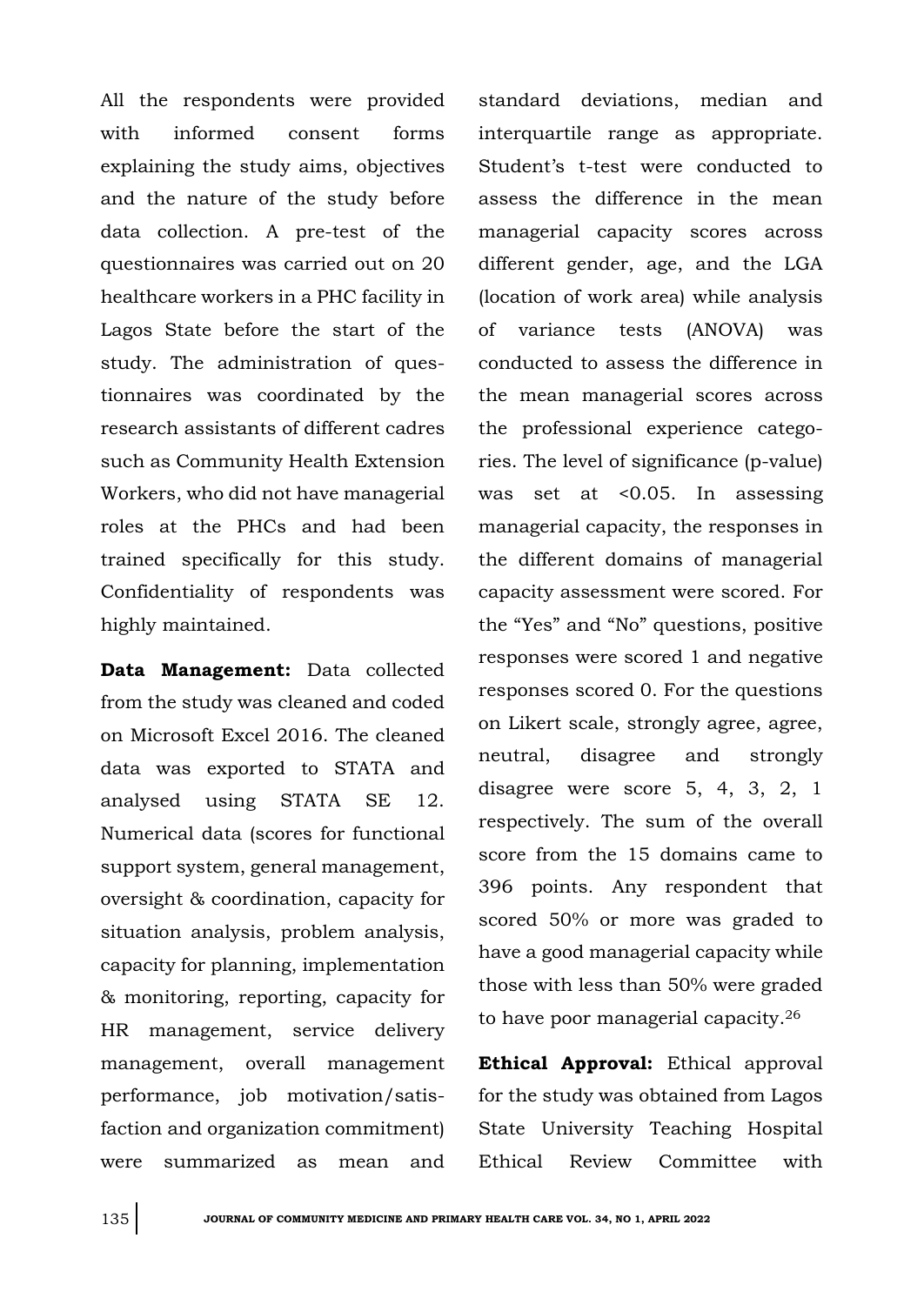All the respondents were provided with informed consent forms explaining the study aims, objectives and the nature of the study before data collection. A pre-test of the questionnaires was carried out on 20 healthcare workers in a PHC facility in Lagos State before the start of the study. The administration of questionnaires was coordinated by the research assistants of different cadres such as Community Health Extension Workers, who did not have managerial roles at the PHCs and had been trained specifically for this study. Confidentiality of respondents was highly maintained.

**Data Management:** Data collected from the study was cleaned and coded on Microsoft Excel 2016. The cleaned data was exported to STATA and analysed using STATA SE 12. Numerical data (scores for functional support system, general management, oversight & coordination, capacity for situation analysis, problem analysis, capacity for planning, implementation & monitoring, reporting, capacity for HR management, service delivery management, overall management performance, job motivation/satisfaction and organization commitment) were summarized as mean and standard deviations, median and interquartile range as appropriate. Student's t-test were conducted to assess the difference in the mean managerial capacity scores across different gender, age, and the LGA (location of work area) while analysis of variance tests (ANOVA) was conducted to assess the difference in the mean managerial scores across the professional experience categories. The level of significance (p-value) was set at <0.05. In assessing managerial capacity, the responses in the different domains of managerial capacity assessment were scored. For the "Yes" and "No" questions, positive responses were scored 1 and negative responses scored 0. For the questions on Likert scale, strongly agree, agree, neutral, disagree and strongly disagree were score 5, 4, 3, 2, 1 respectively. The sum of the overall score from the 15 domains came to 396 points. Any respondent that scored 50% or more was graded to have a good managerial capacity while those with less than 50% were graded to have poor managerial capacity.<sup>26</sup>

**Ethical Approval:** Ethical approval for the study was obtained from Lagos State University Teaching Hospital Ethical Review Committee with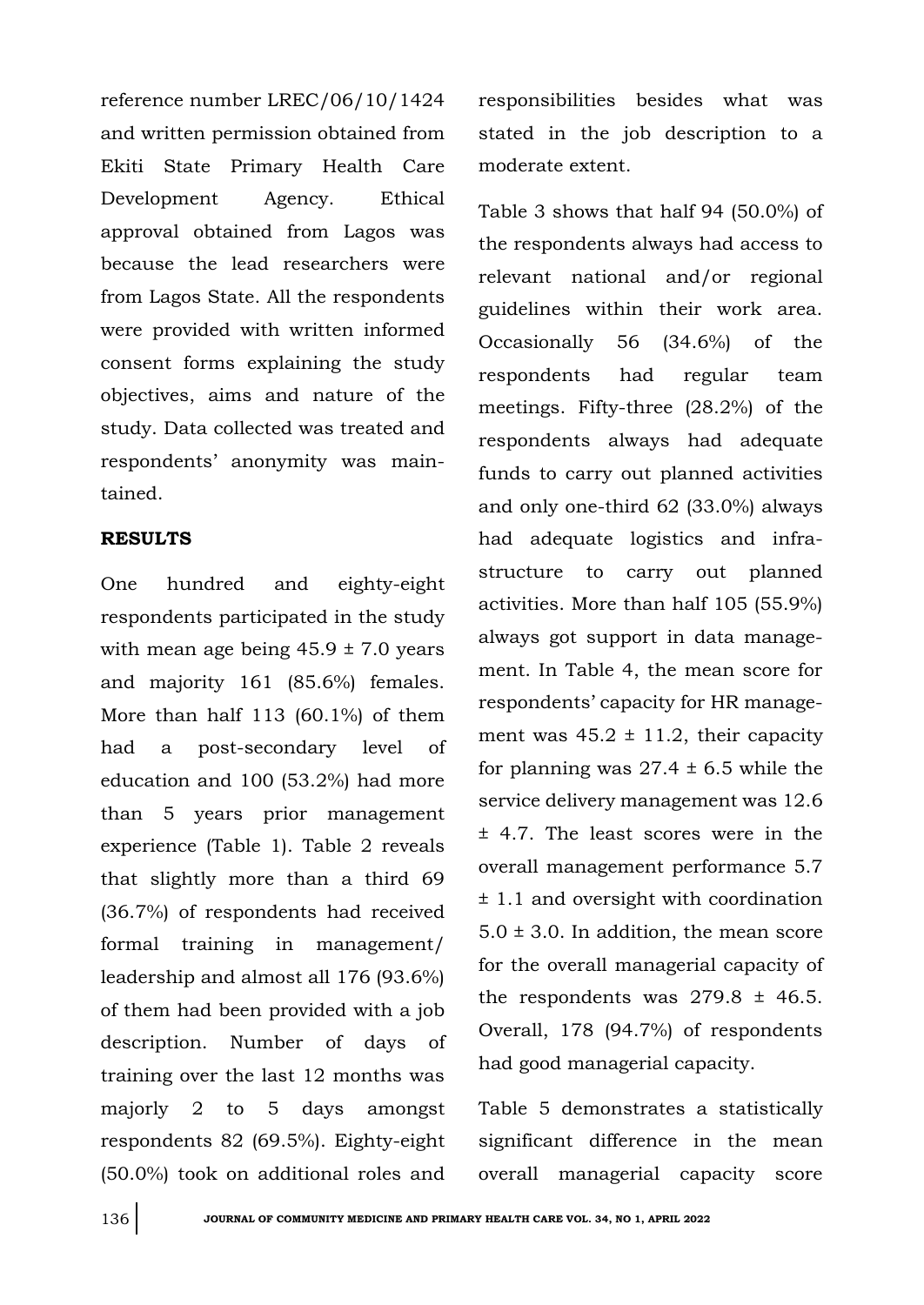reference number LREC/06/10/1424 and written permission obtained from Ekiti State Primary Health Care Development Agency. Ethical approval obtained from Lagos was because the lead researchers were from Lagos State. All the respondents were provided with written informed consent forms explaining the study objectives, aims and nature of the study. Data collected was treated and respondents' anonymity was maintained.

#### **RESULTS**

One hundred and eighty-eight respondents participated in the study with mean age being  $45.9 \pm 7.0$  years and majority 161 (85.6%) females. More than half 113 (60.1%) of them had a post-secondary level of education and 100 (53.2%) had more than 5 years prior management experience (Table 1). Table 2 reveals that slightly more than a third 69 (36.7%) of respondents had received formal training in management/ leadership and almost all 176 (93.6%) of them had been provided with a job description. Number of days of training over the last 12 months was majorly 2 to 5 days amongst respondents 82 (69.5%). Eighty-eight (50.0%) took on additional roles and

responsibilities besides what was stated in the job description to a moderate extent.

Table 3 shows that half 94 (50.0%) of the respondents always had access to relevant national and/or regional guidelines within their work area. Occasionally 56 (34.6%) of the respondents had regular team meetings. Fifty-three (28.2%) of the respondents always had adequate funds to carry out planned activities and only one-third 62 (33.0%) always had adequate logistics and infrastructure to carry out planned activities. More than half 105 (55.9%) always got support in data management. In Table 4, the mean score for respondents' capacity for HR management was  $45.2 \pm 11.2$ , their capacity for planning was  $27.4 \pm 6.5$  while the service delivery management was 12.6 ± 4.7. The least scores were in the overall management performance 5.7 ± 1.1 and oversight with coordination  $5.0 \pm 3.0$ . In addition, the mean score for the overall managerial capacity of the respondents was  $279.8 \pm 46.5$ . Overall, 178 (94.7%) of respondents had good managerial capacity.

Table 5 demonstrates a statistically significant difference in the mean overall managerial capacity score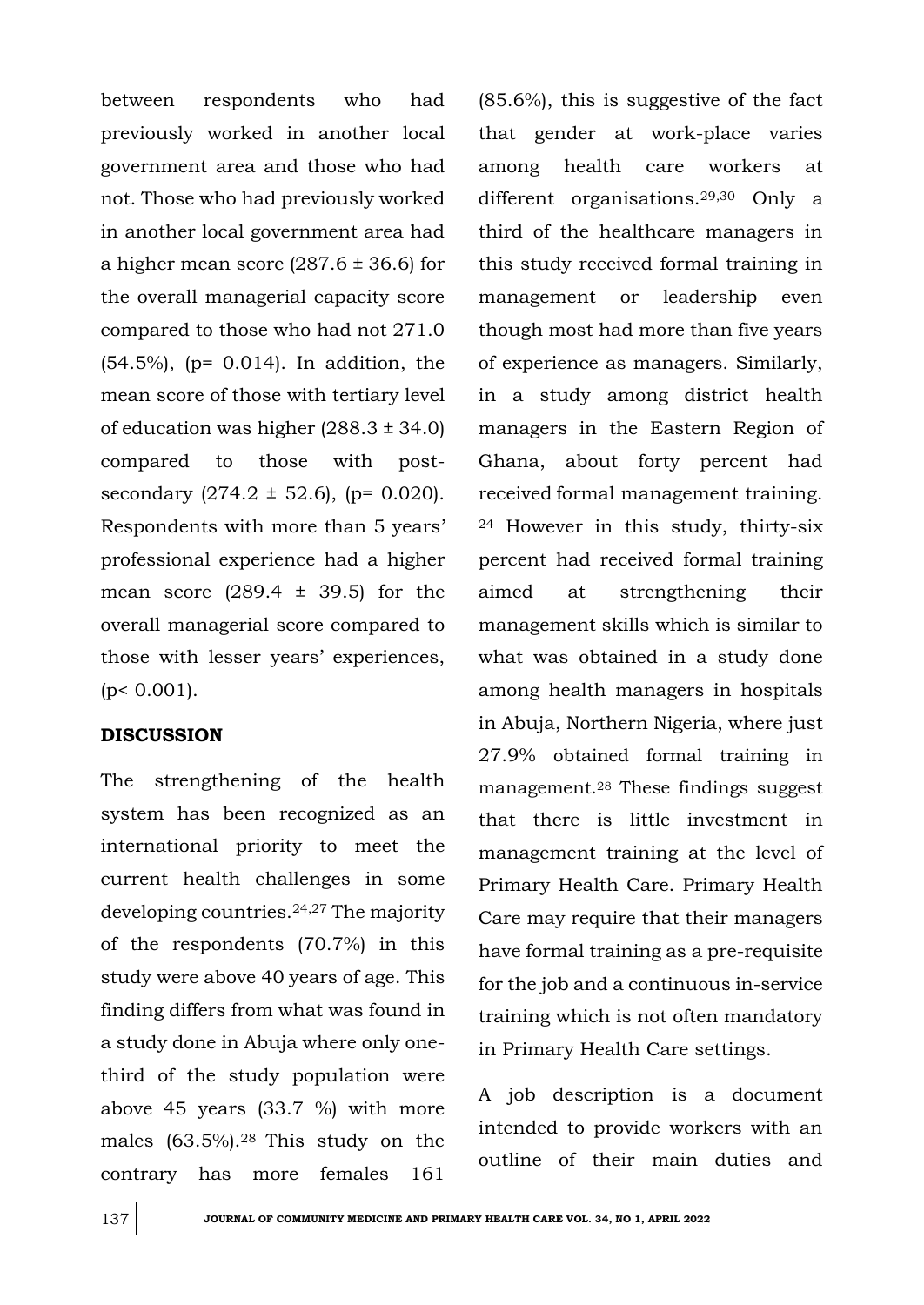between respondents who had previously worked in another local government area and those who had not. Those who had previously worked in another local government area had a higher mean score  $(287.6 \pm 36.6)$  for the overall managerial capacity score compared to those who had not 271.0 (54.5%), (p= 0.014). In addition, the mean score of those with tertiary level of education was higher  $(288.3 \pm 34.0)$ compared to those with postsecondary  $(274.2 \pm 52.6)$ , (p= 0.020). Respondents with more than 5 years' professional experience had a higher mean score  $(289.4 \pm 39.5)$  for the overall managerial score compared to those with lesser years' experiences,  $(p < 0.001)$ .

### **DISCUSSION**

The strengthening of the health system has been recognized as an international priority to meet the current health challenges in some developing countries.24,27 The majority of the respondents (70.7%) in this study were above 40 years of age. This finding differs from what was found in a study done in Abuja where only onethird of the study population were above 45 years (33.7 %) with more males (63.5%).28 This study on the contrary has more females 161

(85.6%), this is suggestive of the fact that gender at work-place varies among health care workers at different organisations.29,30 Only a third of the healthcare managers in this study received formal training in management or leadership even though most had more than five years of experience as managers. Similarly, in a study among district health managers in the Eastern Region of Ghana, about forty percent had received formal management training. <sup>24</sup> However in this study, thirty-six percent had received formal training aimed at strengthening their management skills which is similar to what was obtained in a study done among health managers in hospitals in Abuja, Northern Nigeria, where just 27.9% obtained formal training in management.<sup>28</sup> These findings suggest that there is little investment in management training at the level of Primary Health Care. Primary Health Care may require that their managers have formal training as a pre-requisite for the job and a continuous in-service training which is not often mandatory in Primary Health Care settings.

A job description is a document intended to provide workers with an outline of their main duties and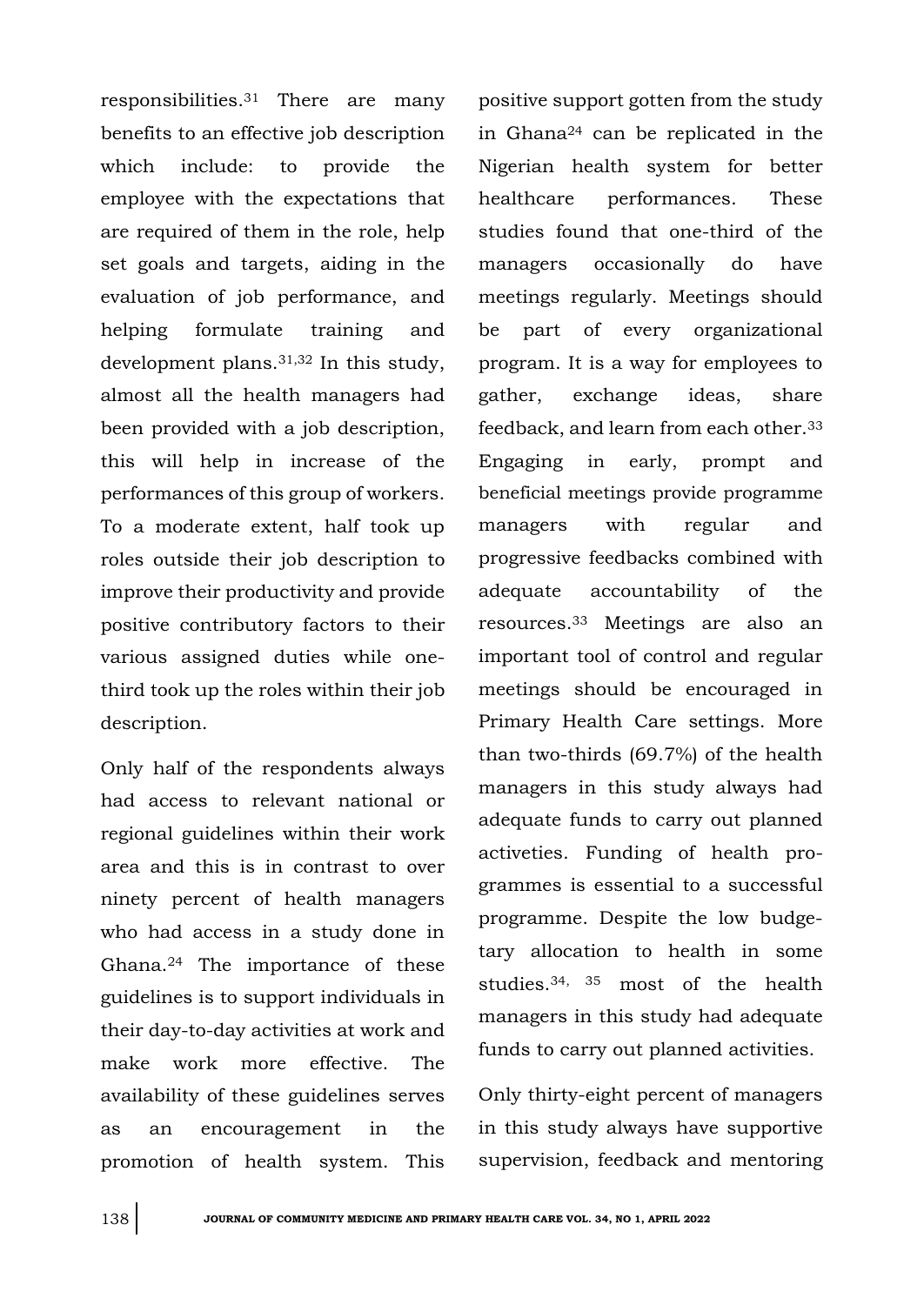responsibilities.<sup>31</sup> There are many benefits to an effective job description which include: to provide the employee with the expectations that are required of them in the role, help set goals and targets, aiding in the evaluation of job performance, and helping formulate training and development plans.31,32 In this study, almost all the health managers had been provided with a job description, this will help in increase of the performances of this group of workers. To a moderate extent, half took up roles outside their job description to improve their productivity and provide positive contributory factors to their various assigned duties while onethird took up the roles within their job description.

Only half of the respondents always had access to relevant national or regional guidelines within their work area and this is in contrast to over ninety percent of health managers who had access in a study done in Ghana.<sup>24</sup> The importance of these guidelines is to support individuals in their day-to-day activities at work and make work more effective. The availability of these guidelines serves as an encouragement in the promotion of health system. This

positive support gotten from the study in Ghana<sup>24</sup> can be replicated in the Nigerian health system for better healthcare performances. These studies found that one-third of the managers occasionally do have meetings regularly. Meetings should be part of every organizational program. It is a way for employees to gather, exchange ideas, share feedback, and learn from each other.<sup>33</sup> Engaging in early, prompt and beneficial meetings provide programme managers with regular and progressive feedbacks combined with adequate accountability of the resources. <sup>33</sup> Meetings are also an important tool of control and regular meetings should be encouraged in Primary Health Care settings. More than two-thirds (69.7%) of the health managers in this study always had adequate funds to carry out planned activeties. Funding of health programmes is essential to a successful programme. Despite the low budgetary allocation to health in some studies.34, 35 most of the health managers in this study had adequate funds to carry out planned activities.

Only thirty-eight percent of managers in this study always have supportive supervision, feedback and mentoring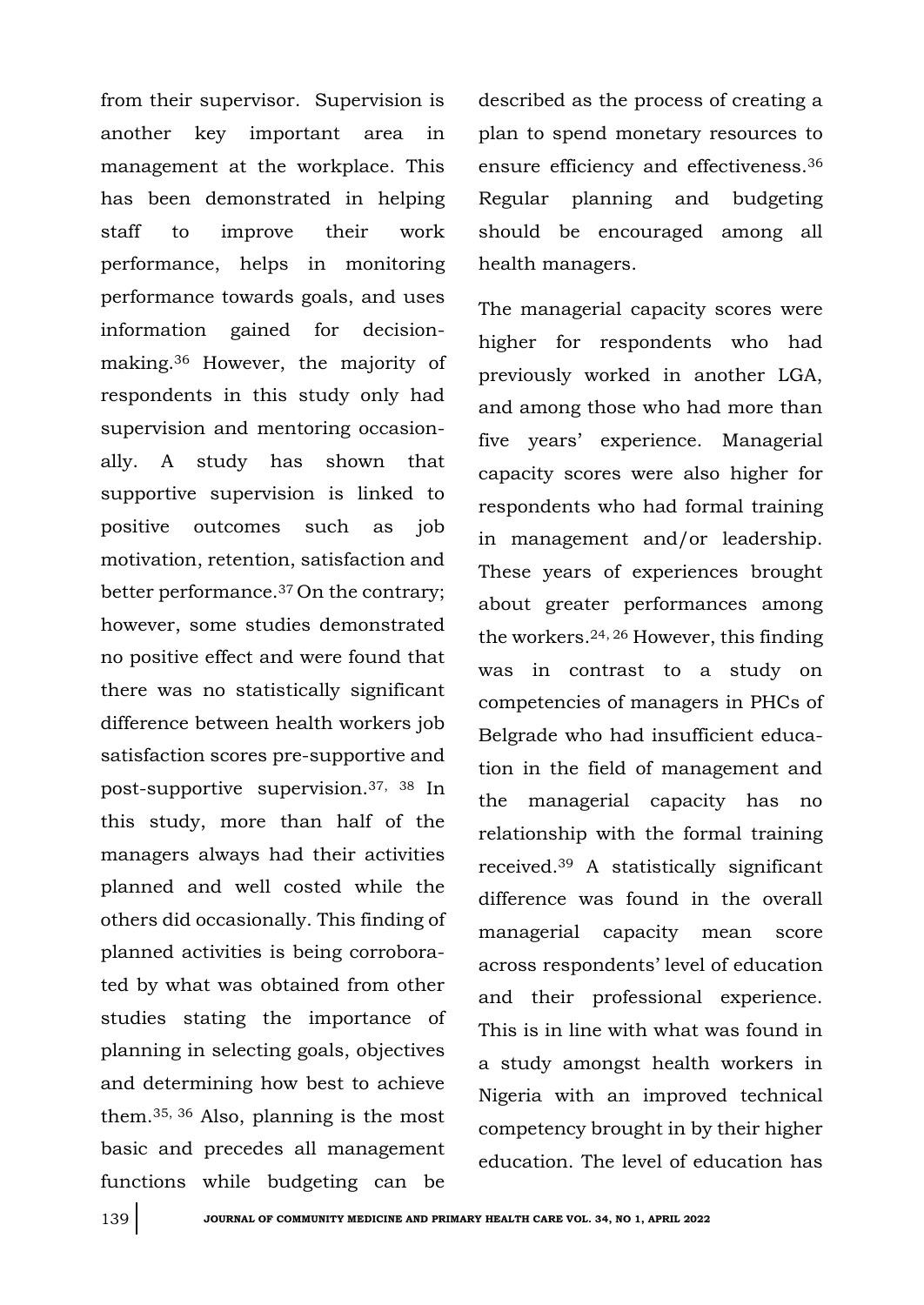from their supervisor. Supervision is another key important area in management at the workplace. This has been demonstrated in helping staff to improve their work performance, helps in monitoring performance towards goals, and uses information gained for decisionmaking.<sup>36</sup> However, the majority of respondents in this study only had supervision and mentoring occasionally. A study has shown that supportive supervision is linked to positive outcomes such as job motivation, retention, satisfaction and better performance.37 On the contrary; however, some studies demonstrated no positive effect and were found that there was no statistically significant difference between health workers job satisfaction scores pre-supportive and post-supportive supervision.37, 38 In this study, more than half of the managers always had their activities planned and well costed while the others did occasionally. This finding of planned activities is being corroborated by what was obtained from other studies stating the importance of planning in selecting goals, objectives and determining how best to achieve them.35, 36 Also, planning is the most basic and precedes all management functions while budgeting can be

described as the process of creating a plan to spend monetary resources to ensure efficiency and effectiveness.<sup>36</sup> Regular planning and budgeting should be encouraged among all health managers.

The managerial capacity scores were higher for respondents who had previously worked in another LGA, and among those who had more than five years' experience. Managerial capacity scores were also higher for respondents who had formal training in management and/or leadership. These years of experiences brought about greater performances among the workers.24, 26 However, this finding was in contrast to a study on competencies of managers in PHCs of Belgrade who had insufficient education in the field of management and the managerial capacity has no relationship with the formal training received.<sup>39</sup> A statistically significant difference was found in the overall managerial capacity mean score across respondents' level of education and their professional experience. This is in line with what was found in a study amongst health workers in Nigeria with an improved technical competency brought in by their higher education. The level of education has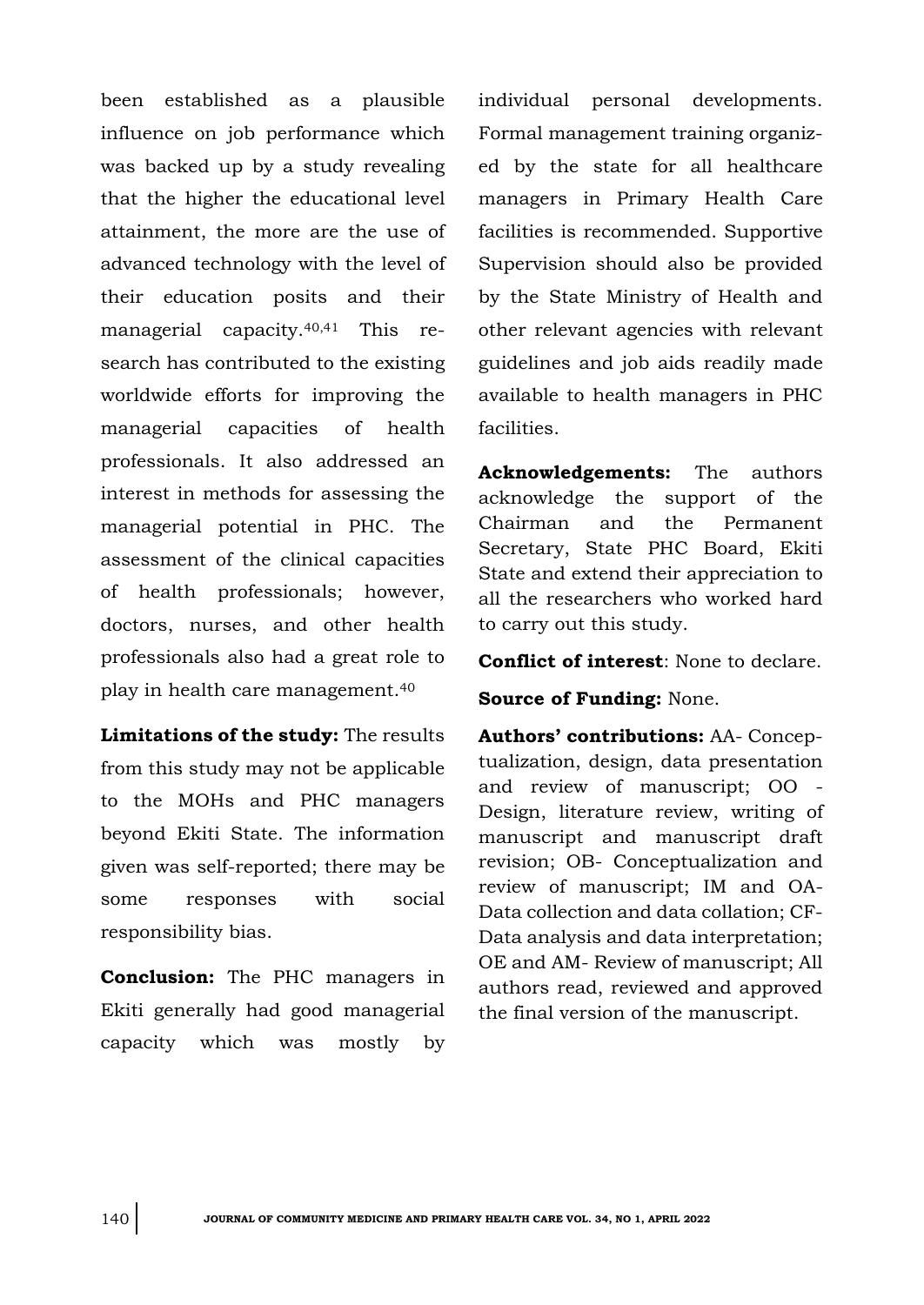been established as a plausible influence on job performance which was backed up by a study revealing that the higher the educational level attainment, the more are the use of advanced technology with the level of their education posits and their managerial capacity.40,41 This research has contributed to the existing worldwide efforts for improving the managerial capacities of health professionals. It also addressed an interest in methods for assessing the managerial potential in PHC. The assessment of the clinical capacities of health professionals; however, doctors, nurses, and other health professionals also had a great role to play in health care management.<sup>40</sup>

**Limitations of the study:** The results from this study may not be applicable to the MOHs and PHC managers beyond Ekiti State. The information given was self-reported; there may be some responses with social responsibility bias.

**Conclusion:** The PHC managers in Ekiti generally had good managerial capacity which was mostly by

individual personal developments. Formal management training organized by the state for all healthcare managers in Primary Health Care facilities is recommended. Supportive Supervision should also be provided by the State Ministry of Health and other relevant agencies with relevant guidelines and job aids readily made available to health managers in PHC facilities.

**Acknowledgements:** The authors acknowledge the support of the Chairman and the Permanent Secretary, State PHC Board, Ekiti State and extend their appreciation to all the researchers who worked hard to carry out this study.

**Conflict of interest**: None to declare.

**Source of Funding:** None.

**Authors' contributions:** AA- Conceptualization, design, data presentation and review of manuscript; OO - Design, literature review, writing of manuscript and manuscript draft revision; OB- Conceptualization and review of manuscript; IM and OA-Data collection and data collation; CF-Data analysis and data interpretation; OE and AM- Review of manuscript; All authors read, reviewed and approved the final version of the manuscript.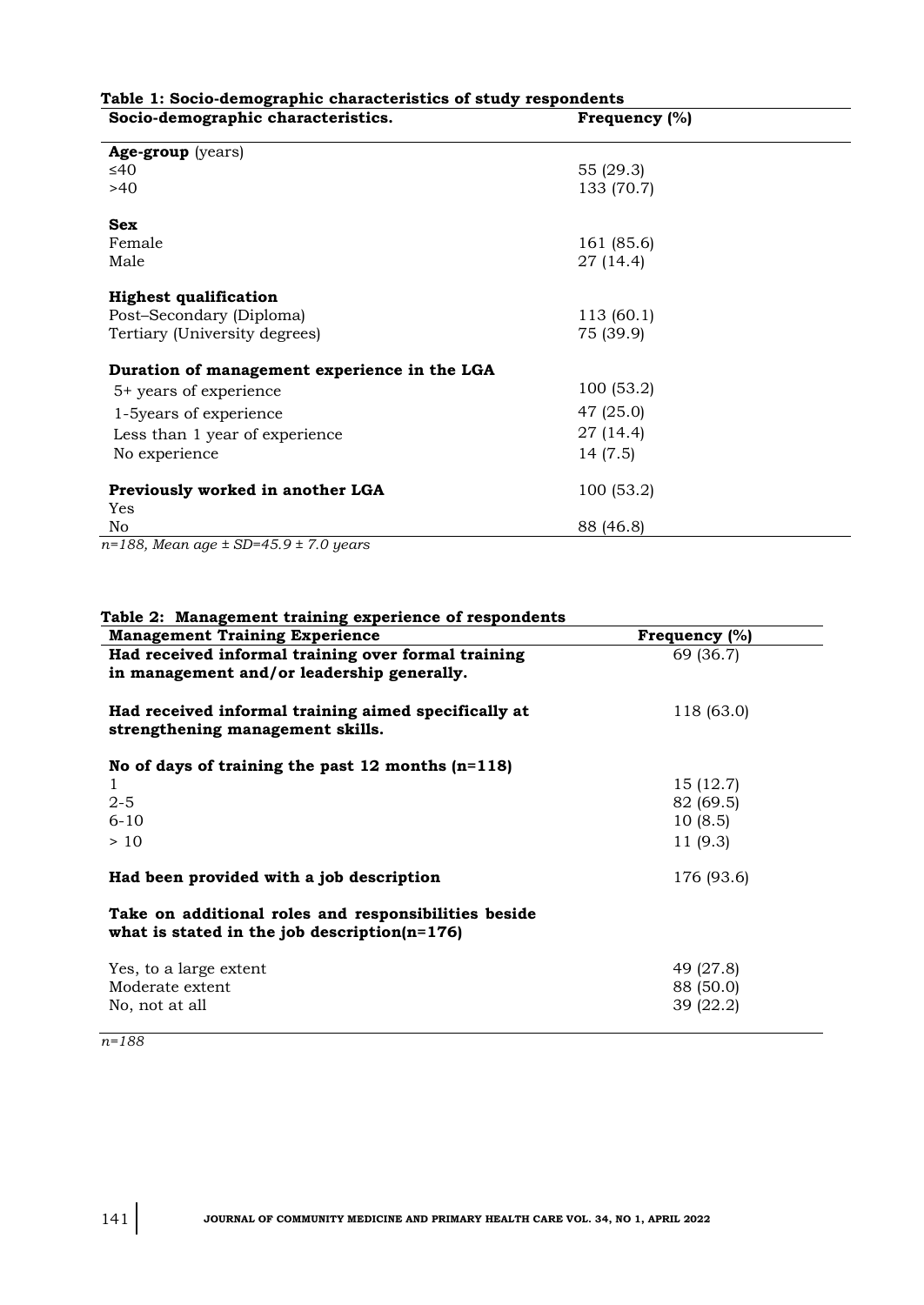| Socio-demographic characteristics.           | Frequency (%) |  |
|----------------------------------------------|---------------|--|
| Age-group (years)                            |               |  |
| ≤40                                          | 55 (29.3)     |  |
| >40                                          | 133 (70.7)    |  |
| <b>Sex</b>                                   |               |  |
| Female                                       | 161 (85.6)    |  |
| Male                                         | 27 (14.4)     |  |
| <b>Highest qualification</b>                 |               |  |
| Post-Secondary (Diploma)                     | 113 (60.1)    |  |
| Tertiary (University degrees)                | 75 (39.9)     |  |
| Duration of management experience in the LGA |               |  |
| 5+ years of experience                       | 100 (53.2)    |  |
| 1-5years of experience                       | 47 (25.0)     |  |
| Less than 1 year of experience               | 27 (14.4)     |  |
| No experience                                | 14 (7.5)      |  |
| Previously worked in another LGA<br>Yes      | 100 (53.2)    |  |
| No                                           | 88 (46.8)     |  |

## **Table 1: Socio-demographic characteristics of study respondents**

*n=188, Mean age ± SD=45.9 ± 7.0 years*

| Table 2: Management training experience of respondents                                                  |                  |
|---------------------------------------------------------------------------------------------------------|------------------|
| <b>Management Training Experience</b>                                                                   | Frequency $(\%)$ |
| Had received informal training over formal training<br>in management and/or leadership generally.       | 69 (36.7)        |
| Had received informal training aimed specifically at<br>strengthening management skills.                | 118 (63.0)       |
| No of days of training the past $12$ months (n=118)                                                     |                  |
| 1.                                                                                                      | 15(12.7)         |
| $2 - 5$                                                                                                 | 82 (69.5)        |
| $6 - 10$                                                                                                | 10(8.5)          |
| >10                                                                                                     | 11 (9.3)         |
| Had been provided with a job description                                                                | 176 (93.6)       |
| Take on additional roles and responsibilities beside<br>what is stated in the job description $(n=176)$ |                  |
| Yes, to a large extent                                                                                  | 49 (27.8)        |
| Moderate extent                                                                                         | 88 (50.0)        |
| No, not at all                                                                                          | 39 (22.2)        |

*n=188*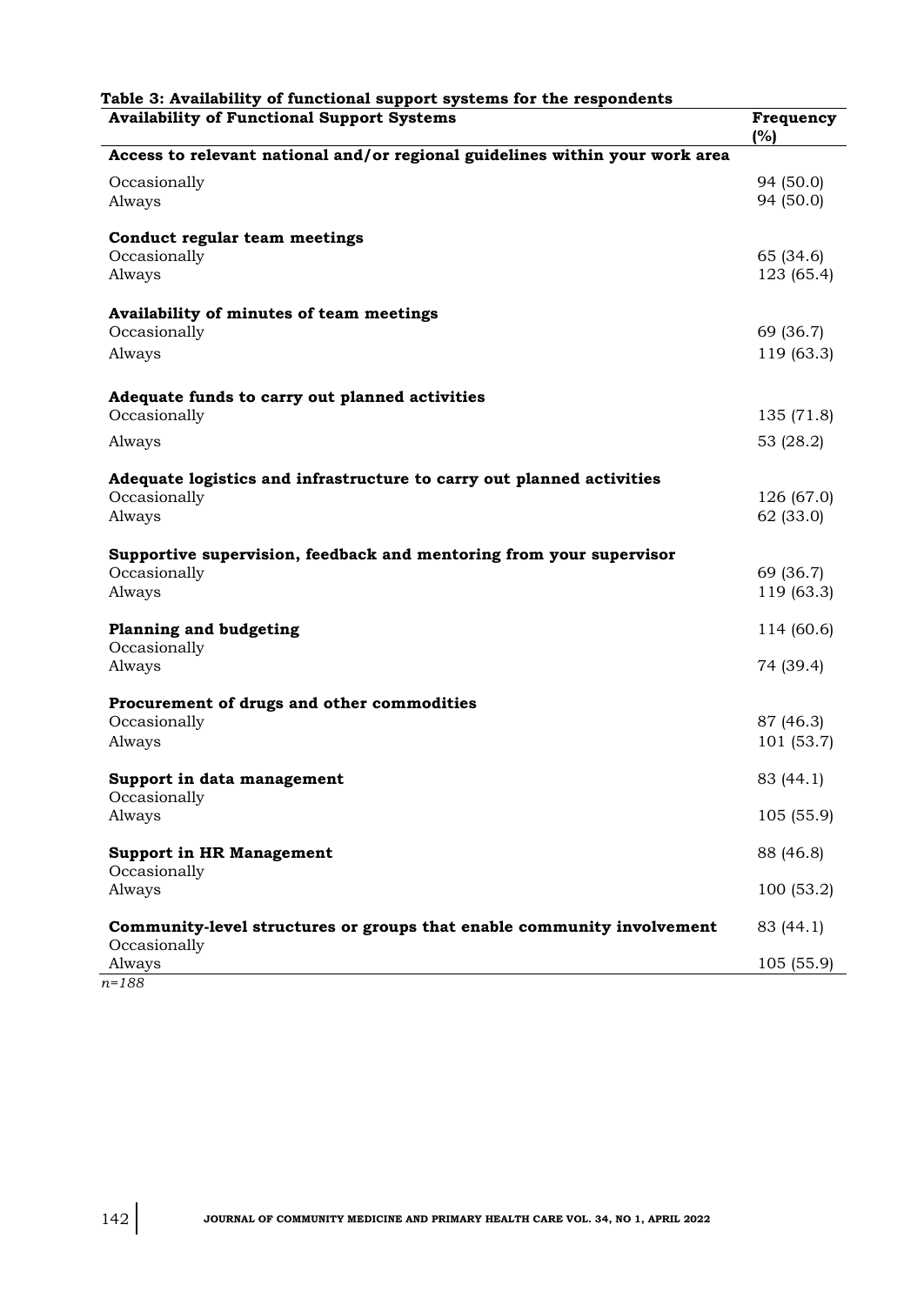| <b>Availability of Functional Support Systems</b>                            | Frequency<br>(%)       |
|------------------------------------------------------------------------------|------------------------|
| Access to relevant national and/or regional guidelines within your work area |                        |
| Occasionally                                                                 | 94 (50.0)              |
| Always                                                                       | 94 (50.0)              |
| Conduct regular team meetings                                                |                        |
| Occasionally                                                                 | 65 (34.6)              |
| Always                                                                       | 123 (65.4)             |
| Availability of minutes of team meetings                                     |                        |
| Occasionally                                                                 | 69 (36.7)              |
| Always                                                                       | 119 (63.3)             |
| Adequate funds to carry out planned activities                               |                        |
| Occasionally                                                                 | 135 (71.8)             |
| Always                                                                       | 53 (28.2)              |
| Adequate logistics and infrastructure to carry out planned activities        |                        |
| Occasionally                                                                 | 126 (67.0)             |
| Always                                                                       | 62 (33.0)              |
| Supportive supervision, feedback and mentoring from your supervisor          |                        |
| Occasionally                                                                 | 69 (36.7)              |
| Always                                                                       | 119 (63.3)             |
| <b>Planning and budgeting</b>                                                | 114 (60.6)             |
| Occasionally                                                                 |                        |
| Always                                                                       | 74 (39.4)              |
| Procurement of drugs and other commodities                                   |                        |
| Occasionally<br>Always                                                       | 87 (46.3)<br>101(53.7) |
|                                                                              |                        |
| Support in data management                                                   | 83 (44.1)              |
| Occasionally<br>Always                                                       | 105(55.9)              |
|                                                                              |                        |
| <b>Support in HR Management</b><br>Occasionally                              | 88 (46.8)              |
| Always                                                                       | 100(53.2)              |
| Community-level structures or groups that enable community involvement       | 83 (44.1)              |
| Occasionally                                                                 |                        |
| Always                                                                       | 105(55.9)              |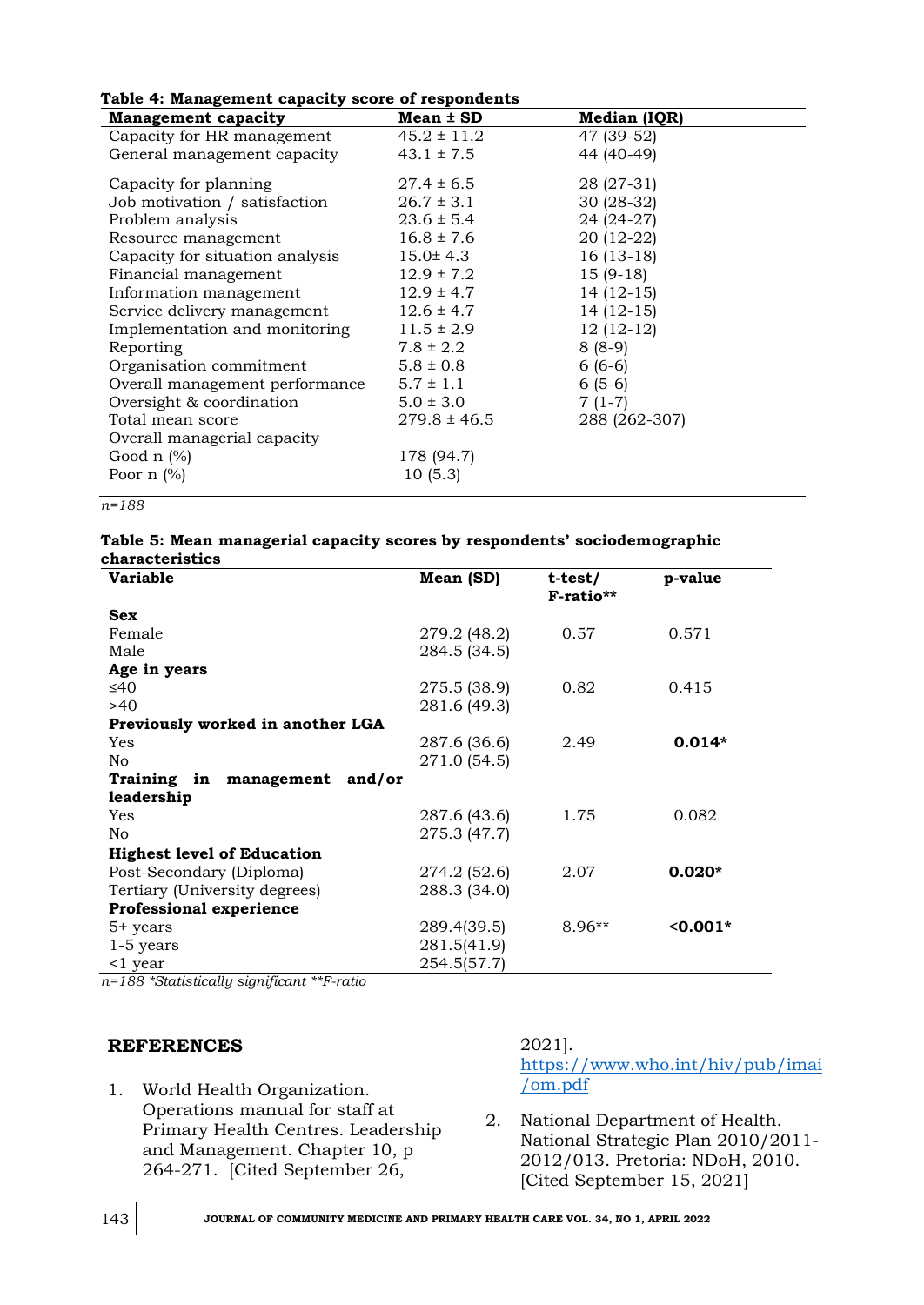| Table 4: Management capacity score of respondents |  |  |  |  |  |
|---------------------------------------------------|--|--|--|--|--|
|---------------------------------------------------|--|--|--|--|--|

| Table +. Management capacity score of respondents |                  |               |  |  |
|---------------------------------------------------|------------------|---------------|--|--|
| <b>Management capacity</b>                        | $Mean \pm SD$    | Median (IQR)  |  |  |
| Capacity for HR management                        | $45.2 \pm 11.2$  | 47 (39-52)    |  |  |
| General management capacity                       | $43.1 \pm 7.5$   | 44 (40-49)    |  |  |
| Capacity for planning                             | $27.4 \pm 6.5$   | 28 (27-31)    |  |  |
| Job motivation / satisfaction                     | $26.7 \pm 3.1$   | $30(28-32)$   |  |  |
| Problem analysis                                  | $23.6 \pm 5.4$   | 24 (24-27)    |  |  |
| Resource management                               | $16.8 \pm 7.6$   | 20 (12-22)    |  |  |
| Capacity for situation analysis                   | $15.0 \pm 4.3$   | $16(13-18)$   |  |  |
| Financial management                              | $12.9 \pm 7.2$   | $15(9-18)$    |  |  |
| Information management                            | $12.9 \pm 4.7$   | $14(12-15)$   |  |  |
| Service delivery management                       | $12.6 \pm 4.7$   | $14(12-15)$   |  |  |
| Implementation and monitoring                     | $11.5 \pm 2.9$   | $12(12-12)$   |  |  |
| Reporting                                         | $7.8 \pm 2.2$    | $8(8-9)$      |  |  |
| Organisation commitment                           | $5.8 \pm 0.8$    | $6(6-6)$      |  |  |
| Overall management performance                    | $5.7 \pm 1.1$    | $6(5-6)$      |  |  |
| Oversight & coordination                          | $5.0 \pm 3.0$    | $7(1-7)$      |  |  |
| Total mean score                                  | $279.8 \pm 46.5$ | 288 (262-307) |  |  |
| Overall managerial capacity                       |                  |               |  |  |
| Good $n$ (%)                                      | 178 (94.7)       |               |  |  |
| Poor $n$ (%)                                      | 10(5.3)          |               |  |  |
|                                                   |                  |               |  |  |

*n=188*

#### **Table 5: Mean managerial capacity scores by respondents' sociodemographic characteristics**

| <b>Variable</b>                     | Mean (SD)    | t-test/<br>F-ratio** | p-value    |
|-------------------------------------|--------------|----------------------|------------|
| <b>Sex</b>                          |              |                      |            |
| Female                              | 279.2 (48.2) | 0.57                 | 0.571      |
| Male                                | 284.5 (34.5) |                      |            |
| Age in years                        |              |                      |            |
| ≤40                                 | 275.5 (38.9) | 0.82                 | 0.415      |
| >40                                 | 281.6 (49.3) |                      |            |
| Previously worked in another LGA    |              |                      |            |
| Yes                                 | 287.6 (36.6) | 2.49                 | $0.014*$   |
| No                                  | 271.0 (54.5) |                      |            |
| Training in<br>management<br>and/or |              |                      |            |
| leadership                          |              |                      |            |
| Yes                                 | 287.6 (43.6) | 1.75                 | 0.082      |
| No                                  | 275.3 (47.7) |                      |            |
| <b>Highest level of Education</b>   |              |                      |            |
| Post-Secondary (Diploma)            | 274.2 (52.6) | 2.07                 | $0.020*$   |
| Tertiary (University degrees)       | 288.3 (34.0) |                      |            |
| <b>Professional experience</b>      |              |                      |            |
| 5+ years                            | 289.4(39.5)  | $8.96**$             | $< 0.001*$ |
| $1-5$ years                         | 281.5(41.9)  |                      |            |
| <1 year                             | 254.5(57.7)  |                      |            |

*n=188 \*Statistically significant \*\*F-ratio*

#### **REFERENCES**

1. World Health Organization. Operations manual for staff at Primary Health Centres. Leadership and Management. Chapter 10, p 264-271. [Cited September 26,

2021].

[https://www.who.int/hiv/pub/imai](https://www.who.int/hiv/pub/imai/om.pdf) [/om.pdf](https://www.who.int/hiv/pub/imai/om.pdf)

2. National Department of Health. National Strategic Plan 2010/2011- 2012/013. Pretoria: NDoH, 2010. [Cited September 15, 2021]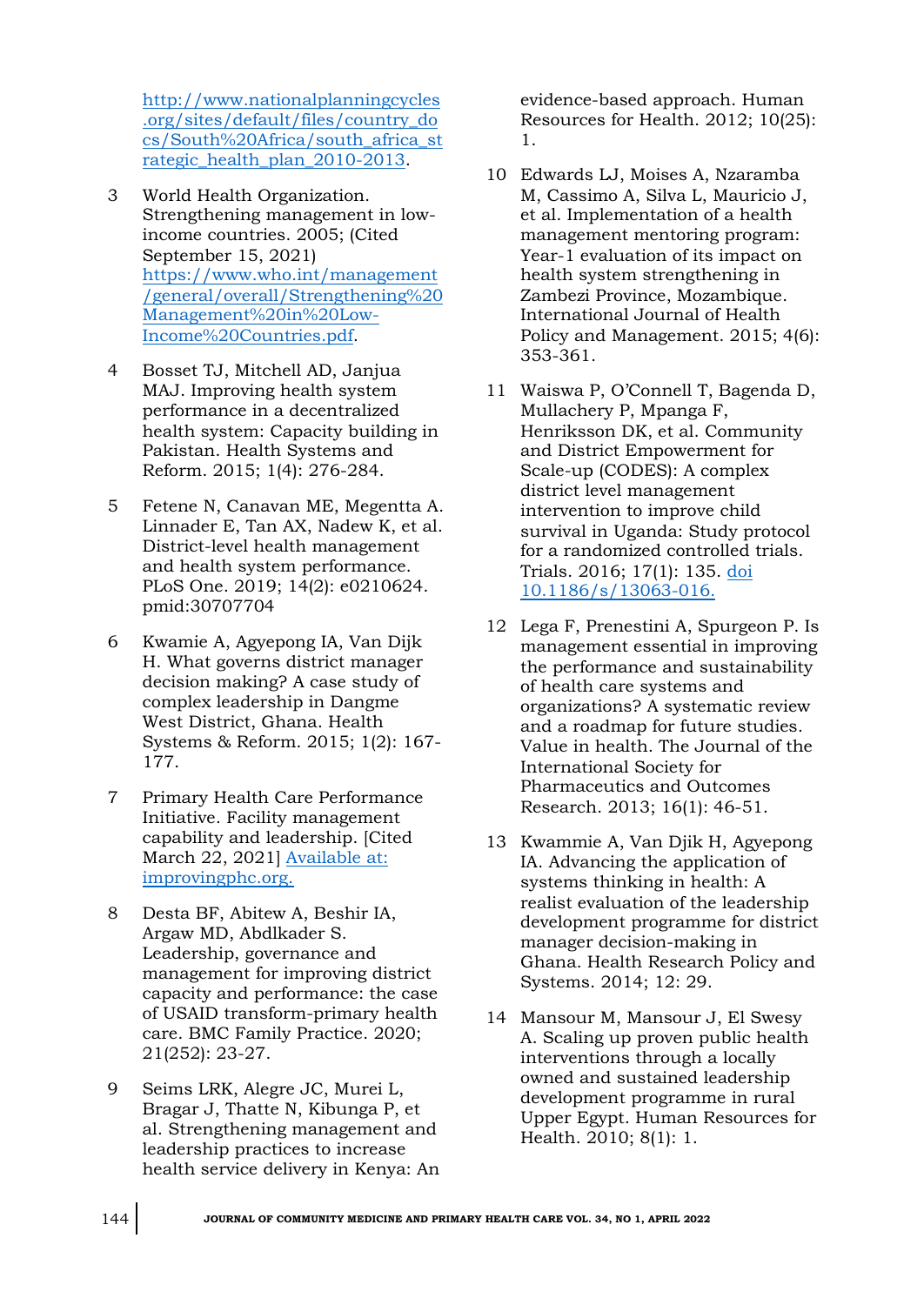[http://www.nationalplanningcycles](http://www.nationalplanningcycles.org/sites/default/files/country_docs/South%20Africa/south_africa_strategic_health_plan_2010-2013) [.org/sites/default/files/country\\_do](http://www.nationalplanningcycles.org/sites/default/files/country_docs/South%20Africa/south_africa_strategic_health_plan_2010-2013) [cs/South%20Africa/south\\_africa\\_st](http://www.nationalplanningcycles.org/sites/default/files/country_docs/South%20Africa/south_africa_strategic_health_plan_2010-2013) rategic health plan 2010-2013.

- 3 World Health Organization. Strengthening management in lowincome countries. 2005; (Cited September 15, 2021) [https://www.who.int/management](https://www.who.int/management/general/overall/Strengthening%20Management%20in%20Low-Income%20Countries.pdf) [/general/overall/Strengthening%20](https://www.who.int/management/general/overall/Strengthening%20Management%20in%20Low-Income%20Countries.pdf) [Management%20in%20Low-](https://www.who.int/management/general/overall/Strengthening%20Management%20in%20Low-Income%20Countries.pdf)[Income%20Countries.pdf.](https://www.who.int/management/general/overall/Strengthening%20Management%20in%20Low-Income%20Countries.pdf)
- 4 Bosset TJ, Mitchell AD, Janjua MAJ. Improving health system performance in a decentralized health system: Capacity building in Pakistan. Health Systems and Reform. 2015; 1(4): 276-284.
- 5 Fetene N, Canavan ME, Megentta A. Linnader E, Tan AX, Nadew K, et al. District-level health management and health system performance. PLoS One. 2019; 14(2): e0210624. pmid:30707704
- 6 Kwamie A, Agyepong IA, Van Dijk H. What governs district manager decision making? A case study of complex leadership in Dangme West District, Ghana. Health Systems & Reform. 2015; 1(2): 167- 177.
- 7 Primary Health Care Performance Initiative. Facility management capability and leadership. [Cited March 22, 2021] [Available at:](file:///C:/Users/Dr%20Omuemu/Desktop/for%20printing/Undergrad%20lect%202022/JCMPHC%2034(1)%20April%202022/Available%20at:%20improvingphc.org)  [improvingphc.org.](file:///C:/Users/Dr%20Omuemu/Desktop/for%20printing/Undergrad%20lect%202022/JCMPHC%2034(1)%20April%202022/Available%20at:%20improvingphc.org)
- 8 Desta BF, Abitew A, Beshir IA, Argaw MD, Abdlkader S. Leadership, governance and management for improving district capacity and performance: the case of USAID transform-primary health care. BMC Family Practice. 2020; 21(252): 23-27.
- 9 Seims LRK, Alegre JC, Murei L, Bragar J, Thatte N, Kibunga P, et al. Strengthening management and leadership practices to increase health service delivery in Kenya: An

evidence-based approach. Human Resources for Health. 2012; 10(25): 1.

- 10 Edwards LJ, Moises A, Nzaramba M, Cassimo A, Silva L, Mauricio J, et al. Implementation of a health management mentoring program: Year-1 evaluation of its impact on health system strengthening in Zambezi Province, Mozambique. International Journal of Health Policy and Management. 2015; 4(6): 353-361.
- 11 Waiswa P, O'Connell T, Bagenda D, Mullachery P, Mpanga F, Henriksson DK, et al. Community and District Empowerment for Scale-up (CODES): A complex district level management intervention to improve child survival in Uganda: Study protocol for a randomized controlled trials. Trials. 2016; 17(1): 135. [doi](file:///C:/Users/Dr%20Omuemu/Desktop/for%20printing/Undergrad%20lect%202022/JCMPHC%2034(1)%20April%202022/doi%2010.1186/s/13063-016)  [10.1186/s/13063-016.](file:///C:/Users/Dr%20Omuemu/Desktop/for%20printing/Undergrad%20lect%202022/JCMPHC%2034(1)%20April%202022/doi%2010.1186/s/13063-016)
- 12 Lega F, Prenestini A, Spurgeon P. Is management essential in improving the performance and sustainability of health care systems and organizations? A systematic review and a roadmap for future studies. Value in health. The Journal of the International Society for Pharmaceutics and Outcomes Research. 2013; 16(1): 46-51.
- 13 Kwammie A, Van Djik H, Agyepong IA. Advancing the application of systems thinking in health: A realist evaluation of the leadership development programme for district manager decision-making in Ghana. Health Research Policy and Systems. 2014; 12: 29.
- 14 Mansour M, Mansour J, El Swesy A. Scaling up proven public health interventions through a locally owned and sustained leadership development programme in rural Upper Egypt. Human Resources for Health. 2010; 8(1): 1.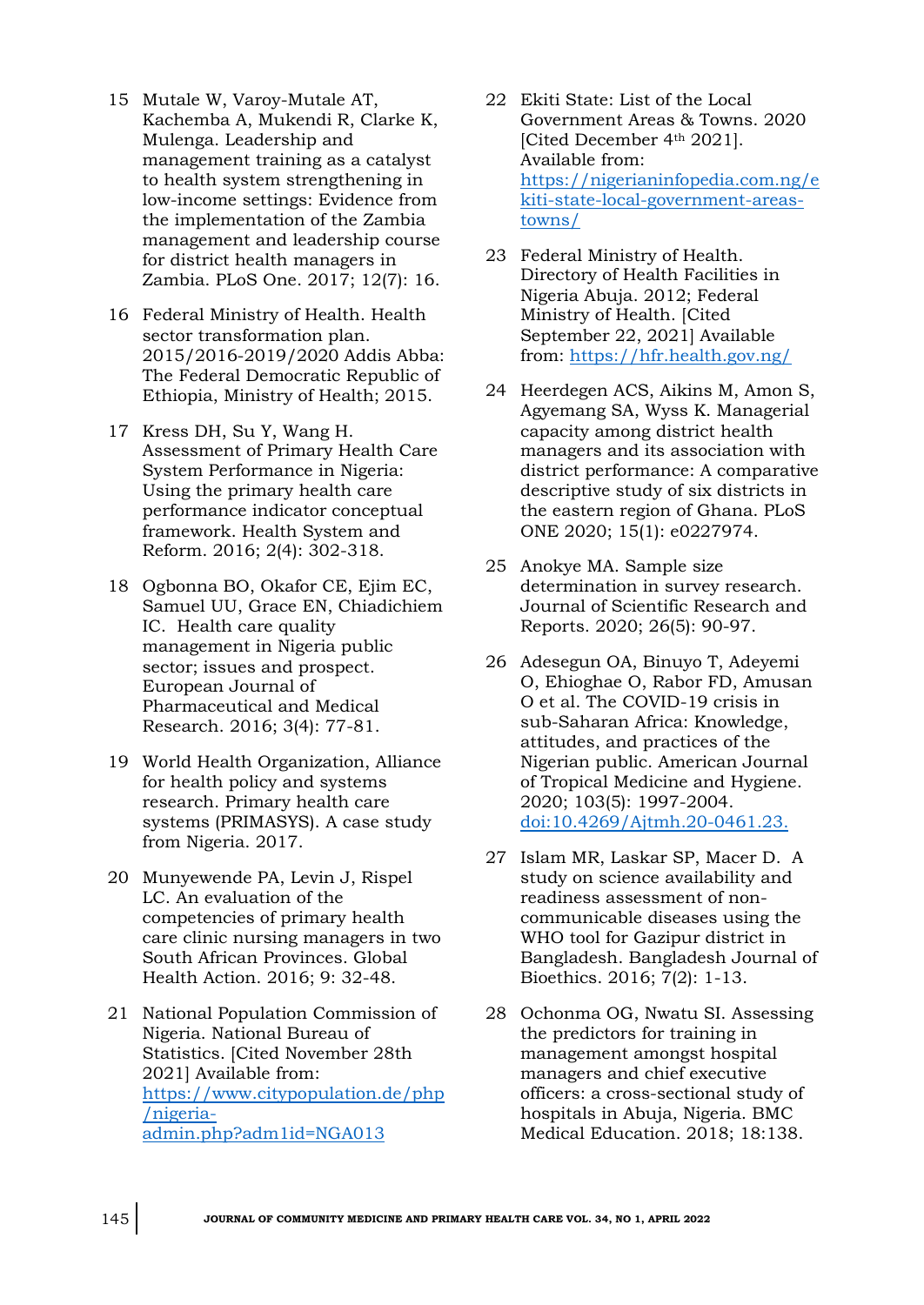- 15 Mutale W, Varoy-Mutale AT, Kachemba A, Mukendi R, Clarke K, Mulenga. Leadership and management training as a catalyst to health system strengthening in low-income settings: Evidence from the implementation of the Zambia management and leadership course for district health managers in Zambia. PLoS One. 2017; 12(7): 16.
- 16 Federal Ministry of Health. Health sector transformation plan. 2015/2016-2019/2020 Addis Abba: The Federal Democratic Republic of Ethiopia, Ministry of Health; 2015.
- 17 Kress DH, Su Y, Wang H. Assessment of Primary Health Care System Performance in Nigeria: Using the primary health care performance indicator conceptual framework. Health System and Reform. 2016; 2(4): 302-318.
- 18 Ogbonna BO, Okafor CE, Ejim EC, Samuel UU, Grace EN, Chiadichiem IC. Health care quality management in Nigeria public sector; issues and prospect. European Journal of Pharmaceutical and Medical Research. 2016; 3(4): 77-81.
- 19 World Health Organization, Alliance for health policy and systems research. Primary health care systems (PRIMASYS). A case study from Nigeria. 2017.
- 20 Munyewende PA, Levin J, Rispel LC. An evaluation of the competencies of primary health care clinic nursing managers in two South African Provinces. Global Health Action. 2016; 9: 32-48.
- 21 National Population Commission of Nigeria. National Bureau of Statistics. [Cited November 28th 2021] Available from: [https://www.citypopulation.de/php](https://www.citypopulation.de/php/nigeria-admin.php?adm1id=NGA013) [/nigeria](https://www.citypopulation.de/php/nigeria-admin.php?adm1id=NGA013)[admin.php?adm1id=NGA013](https://www.citypopulation.de/php/nigeria-admin.php?adm1id=NGA013)
- 22 Ekiti State: List of the Local Government Areas & Towns. 2020 [Cited December 4th 2021]. Available from: [https://nigerianinfopedia.com.ng/e](https://nigerianinfopedia.com.ng/ekiti-state-local-government-areas-towns/) [kiti-state-local-government-areas](https://nigerianinfopedia.com.ng/ekiti-state-local-government-areas-towns/)[towns/](https://nigerianinfopedia.com.ng/ekiti-state-local-government-areas-towns/)
- 23 Federal Ministry of Health. Directory of Health Facilities in Nigeria Abuja. 2012; Federal Ministry of Health. [Cited September 22, 2021] Available from: <https://hfr.health.gov.ng/>
- 24 Heerdegen ACS, Aikins M, Amon S, Agyemang SA, Wyss K. Managerial capacity among district health managers and its association with district performance: A comparative descriptive study of six districts in the eastern region of Ghana. PLoS ONE 2020; 15(1): e0227974.
- 25 Anokye MA. Sample size determination in survey research. Journal of Scientific Research and Reports. 2020; 26(5): 90-97.
- 26 Adesegun OA, Binuyo T, Adeyemi O, Ehioghae O, Rabor FD, Amusan O et al. The COVID-19 crisis in sub-Saharan Africa: Knowledge, attitudes, and practices of the Nigerian public. American Journal of Tropical Medicine and Hygiene. 2020; 103(5): 1997-2004. <doi:10.4269/Ajtmh.20-0461.23.>
- 27 Islam MR, Laskar SP, Macer D. A study on science availability and readiness assessment of noncommunicable diseases using the WHO tool for Gazipur district in Bangladesh. Bangladesh Journal of Bioethics. 2016; 7(2): 1-13.
- 28 Ochonma OG, Nwatu SI. Assessing the predictors for training in management amongst hospital managers and chief executive officers: a cross-sectional study of hospitals in Abuja, Nigeria. BMC Medical Education. 2018; 18:138.